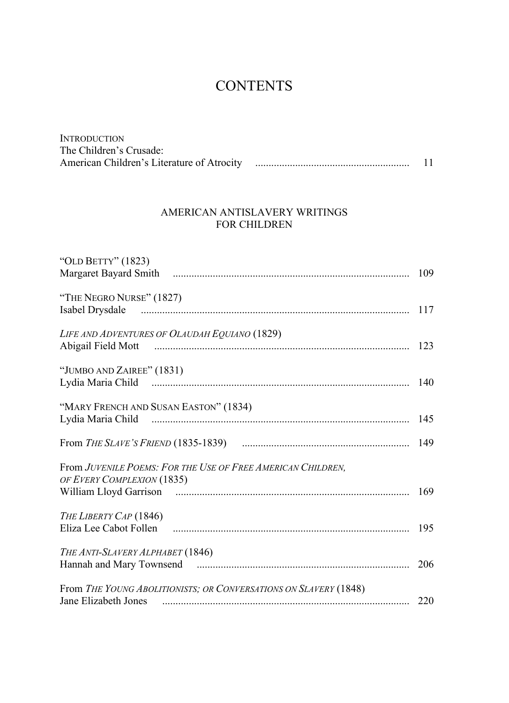## **CONTENTS**

| <b>INTRODUCTION</b>     |  |
|-------------------------|--|
| The Children's Crusade: |  |
|                         |  |

## AMERICAN ANTISLAVERY WRITINGS FOR CHILDREN

| "OLD BETTY" (1823)                                                                                             |  |
|----------------------------------------------------------------------------------------------------------------|--|
|                                                                                                                |  |
| "THE NEGRO NURSE" (1827)                                                                                       |  |
|                                                                                                                |  |
| LIFE AND ADVENTURES OF OLAUDAH EQUIANO (1829)                                                                  |  |
| Abigail Field Mott music music contract the contract of the material method of the contract of the contract of |  |
| "JUMBO AND ZAIREE" (1831)                                                                                      |  |
|                                                                                                                |  |
| "MARY FRENCH AND SUSAN EASTON" (1834)                                                                          |  |
|                                                                                                                |  |
|                                                                                                                |  |
| From JUVENILE POEMS: FOR THE USE OF FREE AMERICAN CHILDREN,                                                    |  |
| OF EVERY COMPLEXION (1835)                                                                                     |  |
|                                                                                                                |  |
| THE LIBERTY CAP (1846)                                                                                         |  |
|                                                                                                                |  |
| THE ANTI-SLAVERY ALPHABET (1846)                                                                               |  |
|                                                                                                                |  |
| From THE YOUNG ABOLITIONISTS; OR CONVERSATIONS ON SLAVERY (1848)                                               |  |
| Jane Elizabeth Jones                                                                                           |  |